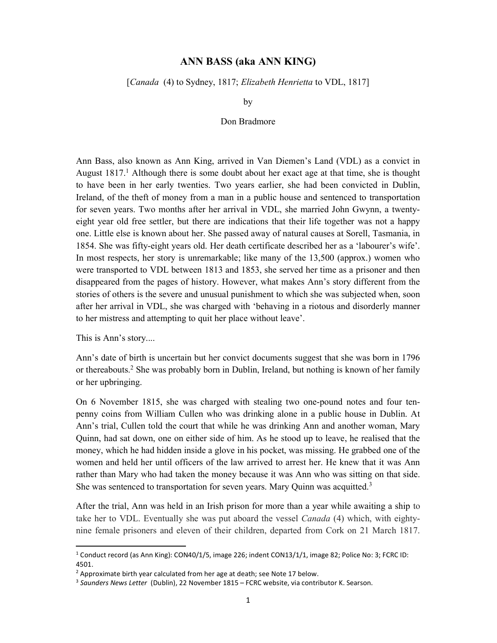## ANN BASS (aka ANN KING)

[Canada (4) to Sydney, 1817; Elizabeth Henrietta to VDL, 1817]

by

## Don Bradmore

Ann Bass, also known as Ann King, arrived in Van Diemen's Land (VDL) as a convict in August  $1817<sup>1</sup>$  Although there is some doubt about her exact age at that time, she is thought to have been in her early twenties. Two years earlier, she had been convicted in Dublin, Ireland, of the theft of money from a man in a public house and sentenced to transportation for seven years. Two months after her arrival in VDL, she married John Gwynn, a twentyeight year old free settler, but there are indications that their life together was not a happy one. Little else is known about her. She passed away of natural causes at Sorell, Tasmania, in 1854. She was fifty-eight years old. Her death certificate described her as a 'labourer's wife'. In most respects, her story is unremarkable; like many of the 13,500 (approx.) women who were transported to VDL between 1813 and 1853, she served her time as a prisoner and then disappeared from the pages of history. However, what makes Ann's story different from the stories of others is the severe and unusual punishment to which she was subjected when, soon after her arrival in VDL, she was charged with 'behaving in a riotous and disorderly manner to her mistress and attempting to quit her place without leave'.

This is Ann's story....

-

Ann's date of birth is uncertain but her convict documents suggest that she was born in 1796 or thereabouts.<sup>2</sup> She was probably born in Dublin, Ireland, but nothing is known of her family or her upbringing.

On 6 November 1815, she was charged with stealing two one-pound notes and four tenpenny coins from William Cullen who was drinking alone in a public house in Dublin. At Ann's trial, Cullen told the court that while he was drinking Ann and another woman, Mary Quinn, had sat down, one on either side of him. As he stood up to leave, he realised that the money, which he had hidden inside a glove in his pocket, was missing. He grabbed one of the women and held her until officers of the law arrived to arrest her. He knew that it was Ann rather than Mary who had taken the money because it was Ann who was sitting on that side. She was sentenced to transportation for seven years. Mary Quinn was acquitted. $3$ 

After the trial, Ann was held in an Irish prison for more than a year while awaiting a ship to take her to VDL. Eventually she was put aboard the vessel *Canada* (4) which, with eightynine female prisoners and eleven of their children, departed from Cork on 21 March 1817.

<sup>&</sup>lt;sup>1</sup> Conduct record (as Ann King): CON40/1/5, image 226; indent CON13/1/1, image 82; Police No: 3; FCRC ID: 4501.

<sup>&</sup>lt;sup>2</sup> Approximate birth year calculated from her age at death; see Note 17 below.

<sup>&</sup>lt;sup>3</sup> Saunders News Letter (Dublin), 22 November 1815 – FCRC website, via contributor K. Searson.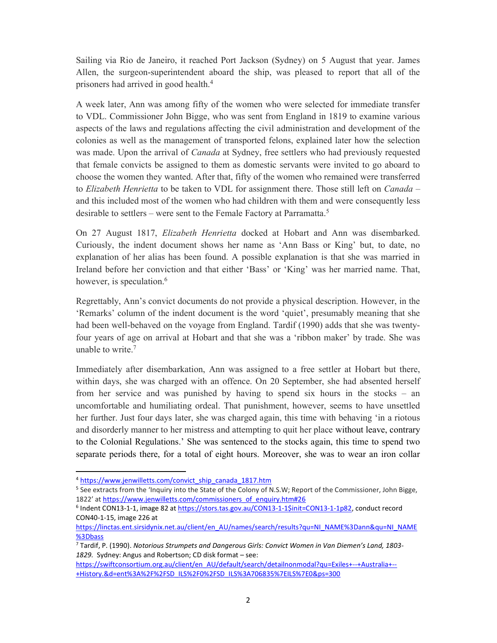Sailing via Rio de Janeiro, it reached Port Jackson (Sydney) on 5 August that year. James Allen, the surgeon-superintendent aboard the ship, was pleased to report that all of the prisoners had arrived in good health.<sup>4</sup>

A week later, Ann was among fifty of the women who were selected for immediate transfer to VDL. Commissioner John Bigge, who was sent from England in 1819 to examine various aspects of the laws and regulations affecting the civil administration and development of the colonies as well as the management of transported felons, explained later how the selection was made. Upon the arrival of *Canada* at Sydney, free settlers who had previously requested that female convicts be assigned to them as domestic servants were invited to go aboard to choose the women they wanted. After that, fifty of the women who remained were transferred to *Elizabeth Henrietta* to be taken to VDL for assignment there. Those still left on *Canada* – and this included most of the women who had children with them and were consequently less desirable to settlers – were sent to the Female Factory at Parramatta.<sup>5</sup>

On 27 August 1817, Elizabeth Henrietta docked at Hobart and Ann was disembarked. Curiously, the indent document shows her name as 'Ann Bass or King' but, to date, no explanation of her alias has been found. A possible explanation is that she was married in Ireland before her conviction and that either 'Bass' or 'King' was her married name. That, however, is speculation. $6$ 

Regrettably, Ann's convict documents do not provide a physical description. However, in the 'Remarks' column of the indent document is the word 'quiet', presumably meaning that she had been well-behaved on the voyage from England. Tardif (1990) adds that she was twentyfour years of age on arrival at Hobart and that she was a 'ribbon maker' by trade. She was unable to write.<sup>7</sup>

Immediately after disembarkation, Ann was assigned to a free settler at Hobart but there, within days, she was charged with an offence. On 20 September, she had absented herself from her service and was punished by having to spend six hours in the stocks – an uncomfortable and humiliating ordeal. That punishment, however, seems to have unsettled her further. Just four days later, she was charged again, this time with behaving 'in a riotous and disorderly manner to her mistress and attempting to quit her place without leave, contrary to the Colonial Regulations.' She was sentenced to the stocks again, this time to spend two separate periods there, for a total of eight hours. Moreover, she was to wear an iron collar

-

<sup>4</sup> https://www.jenwilletts.com/convict\_ship\_canada\_1817.htm

<sup>5</sup> See extracts from the 'Inquiry into the State of the Colony of N.S.W; Report of the Commissioner, John Bigge, 1822' at https://www.jenwilletts.com/commissioners\_of\_enquiry.htm#26

<sup>&</sup>lt;sup>6</sup> Indent CON13-1-1, image 82 at https://stors.tas.gov.au/CON13-1-1\$init=CON13-1-1p82, conduct record CON40-1-15, image 226 at

https://linctas.ent.sirsidynix.net.au/client/en\_AU/names/search/results?qu=NI\_NAME%3Dann&qu=NI\_NAME %3Dbass

<sup>7</sup> Tardif, P. (1990). Notorious Strumpets and Dangerous Girls: Convict Women in Van Diemen's Land, 1803- 1829. Sydney: Angus and Robertson; CD disk format – see:

https://swiftconsortium.org.au/client/en\_AU/default/search/detailnonmodal?qu=Exiles+--+Australia+--+History.&d=ent%3A%2F%2FSD\_ILS%2F0%2FSD\_ILS%3A706835%7EILS%7E0&ps=300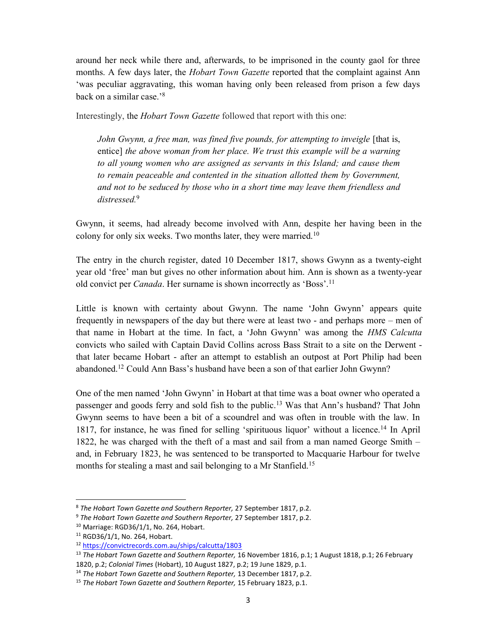around her neck while there and, afterwards, to be imprisoned in the county gaol for three months. A few days later, the *Hobart Town Gazette* reported that the complaint against Ann 'was peculiar aggravating, this woman having only been released from prison a few days back on a similar case.'<sup>8</sup>

Interestingly, the Hobart Town Gazette followed that report with this one:

John Gwynn, a free man, was fined five pounds, for attempting to inveigle [that is, entice] the above woman from her place. We trust this example will be a warning to all young women who are assigned as servants in this Island; and cause them to remain peaceable and contented in the situation allotted them by Government, and not to be seduced by those who in a short time may leave them friendless and distressed.<sup>9</sup>

Gwynn, it seems, had already become involved with Ann, despite her having been in the colony for only six weeks. Two months later, they were married.<sup>10</sup>

The entry in the church register, dated 10 December 1817, shows Gwynn as a twenty-eight year old 'free' man but gives no other information about him. Ann is shown as a twenty-year old convict per *Canada*. Her surname is shown incorrectly as 'Boss'.<sup>11</sup>

Little is known with certainty about Gwynn. The name 'John Gwynn' appears quite frequently in newspapers of the day but there were at least two - and perhaps more – men of that name in Hobart at the time. In fact, a 'John Gwynn' was among the *HMS Calcutta* convicts who sailed with Captain David Collins across Bass Strait to a site on the Derwent that later became Hobart - after an attempt to establish an outpost at Port Philip had been abandoned.<sup>12</sup> Could Ann Bass's husband have been a son of that earlier John Gwynn?

One of the men named 'John Gwynn' in Hobart at that time was a boat owner who operated a passenger and goods ferry and sold fish to the public.<sup>13</sup> Was that Ann's husband? That John Gwynn seems to have been a bit of a scoundrel and was often in trouble with the law. In 1817, for instance, he was fined for selling 'spirituous liquor' without a licence.<sup>14</sup> In April 1822, he was charged with the theft of a mast and sail from a man named George Smith – and, in February 1823, he was sentenced to be transported to Macquarie Harbour for twelve months for stealing a mast and sail belonging to a Mr Stanfield.<sup>15</sup>

-

<sup>8</sup> The Hobart Town Gazette and Southern Reporter, 27 September 1817, p.2.

<sup>&</sup>lt;sup>9</sup> The Hobart Town Gazette and Southern Reporter, 27 September 1817, p.2.

<sup>10</sup> Marriage: RGD36/1/1, No. 264, Hobart.

<sup>11</sup> RGD36/1/1, No. 264, Hobart.

<sup>12</sup> https://convictrecords.com.au/ships/calcutta/1803

 $13$  The Hobart Town Gazette and Southern Reporter, 16 November 1816, p.1; 1 August 1818, p.1; 26 February 1820, p.2; Colonial Times (Hobart), 10 August 1827, p.2; 19 June 1829, p.1.

<sup>&</sup>lt;sup>14</sup> The Hobart Town Gazette and Southern Reporter, 13 December 1817, p.2.

<sup>&</sup>lt;sup>15</sup> The Hobart Town Gazette and Southern Reporter, 15 February 1823, p.1.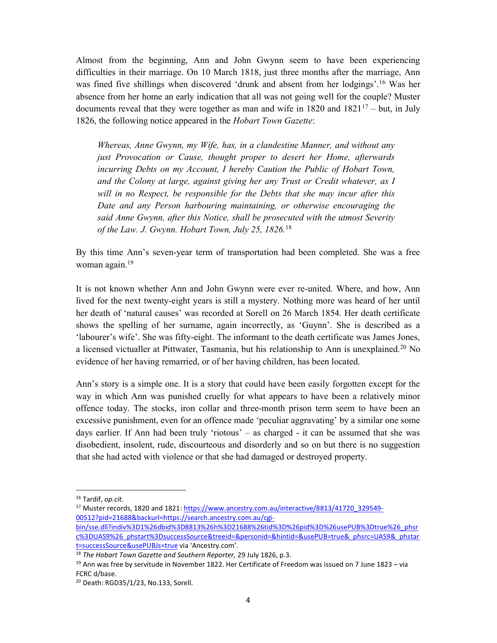Almost from the beginning, Ann and John Gwynn seem to have been experiencing difficulties in their marriage. On 10 March 1818, just three months after the marriage, Ann was fined five shillings when discovered 'drunk and absent from her lodgings'.<sup>16</sup> Was her absence from her home an early indication that all was not going well for the couple? Muster documents reveal that they were together as man and wife in 1820 and  $1821^{17}$  – but, in July 1826, the following notice appeared in the Hobart Town Gazette:

Whereas, Anne Gwynn, my Wife, has, in a clandestine Manner, and without any just Provocation or Cause, thought proper to desert her Home, afterwards incurring Debts on my Account, I hereby Caution the Public of Hobart Town, and the Colony at large, against giving her any Trust or Credit whatever, as I will in no Respect, be responsible for the Debts that she may incur after this Date and any Person harbouring maintaining, or otherwise encouraging the said Anne Gwynn, after this Notice, shall be prosecuted with the utmost Severity of the Law. J. Gwynn. Hobart Town, July 25, 1826.<sup>18</sup>

By this time Ann's seven-year term of transportation had been completed. She was a free woman again.<sup>19</sup>

It is not known whether Ann and John Gwynn were ever re-united. Where, and how, Ann lived for the next twenty-eight years is still a mystery. Nothing more was heard of her until her death of 'natural causes' was recorded at Sorell on 26 March 1854. Her death certificate shows the spelling of her surname, again incorrectly, as 'Guynn'. She is described as a 'labourer's wife'. She was fifty-eight. The informant to the death certificate was James Jones, a licensed victualler at Pittwater, Tasmania, but his relationship to Ann is unexplained.<sup>20</sup> No evidence of her having remarried, or of her having children, has been located.

Ann's story is a simple one. It is a story that could have been easily forgotten except for the way in which Ann was punished cruelly for what appears to have been a relatively minor offence today. The stocks, iron collar and three-month prison term seem to have been an excessive punishment, even for an offence made 'peculiar aggravating' by a similar one some days earlier. If Ann had been truly 'riotous' – as charged - it can be assumed that she was disobedient, insolent, rude, discourteous and disorderly and so on but there is no suggestion that she had acted with violence or that she had damaged or destroyed property.

1

<sup>&</sup>lt;sup>16</sup> Tardif, op.cit.

<sup>&</sup>lt;sup>17</sup> Muster records, 1820 and 1821: https://www.ancestry.com.au/interactive/8813/41720\_329549-00512?pid=21688&backurl=https://search.ancestry.com.au/cgi-

bin/sse.dll?indiv%3D1%26dbid%3D8813%26h%3D21688%26tid%3D%26pid%3D%26usePUB%3Dtrue%26\_phsr c%3DUAS9%26\_phstart%3DsuccessSource&treeid=&personid=&hintid=&usePUB=true&\_phsrc=UAS9&\_phstar t=successSource&usePUBJs=true via 'Ancestry.com'.

 $18$  The Hobart Town Gazette and Southern Reporter, 29 July 1826, p.3.

 $19$  Ann was free by servitude in November 1822. Her Certificate of Freedom was issued on 7 June 1823 – via FCRC d/base.

<sup>20</sup> Death: RGD35/1/23, No.133, Sorell.